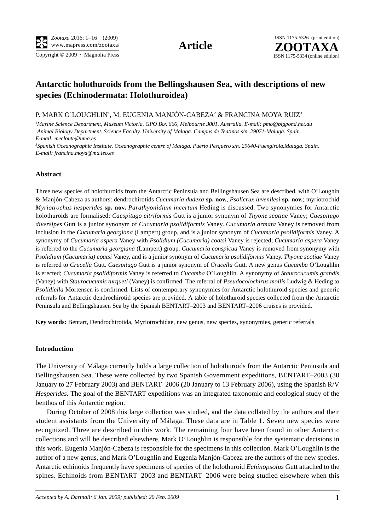Copyright © 2009 · Magnolia Press ISSN 1175-5334 (online edition)



# **Antarctic holothuroids from the Bellingshausen Sea, with descriptions of new species (Echinodermata: Holothuroidea)**

P. MARK O'LOUGHLIN<sup>1</sup>, M. EUGENIA MANJÓN-CABEZA<sup>2</sup> & FRANCINA MOYA RUIZ<sup>3</sup>

*1 Marine Science Department, Museum Victoria, GPO Box 666, Melbourne 3001, Australia. E-mail: pmo@bigpond.net.au 2 Animal Biology Department. Science Faculty. University of Malaga. Campus de Teatinos s/n. 29071-Malaga. Spain. E-mail: mecloute@uma.es*

*3 Spanish Oceanographic Institute. Oceanographic centre of Malaga. Puerto Pesquero s/n. 29640-Fuengirola.Malaga. Spain. E-mail: francina.moya@ma.ieo.es*

### **Abstract**

Three new species of holothuroids from the Antarctic Peninsula and Bellingshausen Sea are described, with O'Loughin & Manjón-Cabeza as authors: dendrochirotids *Cucumaria dudexa* **sp. nov.**, *Psolicrux iuvenilesi* **sp. nov.**; myriotrochid *Myriotrochus hesperides* **sp. nov.** *Parathyonidium incertum* Heding is discussed. Two synonymies for Antarctic holothuroids are formalised: *Caespitugo citriformis* Gutt is a junior synonym of *Thyone scotiae* Vaney; *Caespitugo diversipes* Gutt is a junior synonym of *Cucumaria psolidiformis* Vaney. *Cucumaria armata* Vaney is removed from inclusion in the *Cucumaria georgiana* (Lampert) group, and is a junior synonym of *Cucumaria psolidiformis* Vaney. A synonymy of *Cucumaria aspera* Vaney with *Psolidium (Cucumaria) coatsi* Vaney is rejected; *Cucumaria aspera* Vaney is referred to the *Cucumaria georgiana* (Lampert) group. *Cucumaria conspicua* Vaney is removed from synonymy with *Psolidium (Cucumaria) coatsi* Vaney, and is a junior synonym of *Cucumaria psolidiformis* Vaney. *Thyone scotiae* Vaney is referred to *Crucella* Gutt. *Caespitugo* Gutt is a junior synonym of *Crucella* Gutt. A new genus *Cucamba* O'Loughlin is erected; *Cucumaria psolidiformis* Vaney is referred to *Cucamba* O'Loughlin. A synonymy of *Staurocucumis grandis* (Vaney) with *Staurocucumis turqueti* (Vaney) is confirmed. The referral of *Pseudocolochirus mollis* Ludwig & Heding to *Psolidiella* Mortensen is confirmed. Lists of contemporary synonymies for Antarctic holothuroid species and generic referrals for Antarctic dendrochirotid species are provided. A table of holothuroid species collected from the Antarctic Peninsula and Bellingshausen Sea by the Spanish BENTART–2003 and BENTART–2006 cruises is provided.

**Key words:** Bentart, Dendrochirotida, Myriotrochidae, new genus, new species, synonymies, generic referrals

### **Introduction**

The University of Málaga currently holds a large collection of holothuroids from the Antarctic Peninsula and Bellingshausen Sea. These were collected by two Spanish Government expeditions, BENTART–2003 (30 January to 27 February 2003) and BENTART–2006 (20 January to 13 February 2006), using the Spanish R/V *Hesperides*. The goal of the BENTART expeditions was an integrated taxonomic and ecological study of the benthos of this Antarctic region.

During October of 2008 this large collection was studied, and the data collated by the authors and their student assistants from the University of Málaga. These data are in Table 1. Seven new species were recognized. Three are described in this work. The remaining four have been found in other Antarctic collections and will be described elsewhere. Mark O'Loughlin is responsible for the systematic decisions in this work. Eugenia Manjón-Cabeza is responsible for the specimens in this collection. Mark O'Loughlin is the author of a new genus, and Mark O'Loughlin and Eugenia Manjón-Cabeza are the authors of the new species. Antarctic echinoids frequently have specimens of species of the holothuroid *Echinopsolus* Gutt attached to the spines. Echinoids from BENTART–2003 and BENTART–2006 were being studied elsewhere when this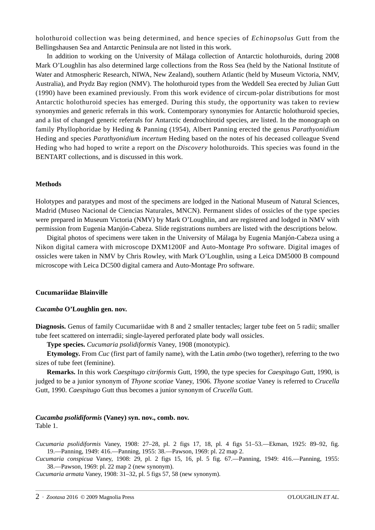holothuroid collection was being determined, and hence species of *Echinopsolus* Gutt from the Bellingshausen Sea and Antarctic Peninsula are not listed in this work.

In addition to working on the University of Málaga collection of Antarctic holothuroids, during 2008 Mark O'Loughlin has also determined large collections from the Ross Sea (held by the National Institute of Water and Atmospheric Research, NIWA, New Zealand), southern Atlantic (held by Museum Victoria, NMV, Australia), and Prydz Bay region (NMV). The holothuroid types from the Weddell Sea erected by Julian Gutt (1990) have been examined previously. From this work evidence of circum-polar distributions for most Antarctic holothuroid species has emerged. During this study, the opportunity was taken to review synonymies and generic referrals in this work. Contemporary synonymies for Antarctic holothuroid species, and a list of changed generic referrals for Antarctic dendrochirotid species, are listed. In the monograph on family Phyllophoridae by Heding & Panning (1954), Albert Panning erected the genus *Parathyonidium* Heding and species *Parathyonidium incertum* Heding based on the notes of his deceased colleague Svend Heding who had hoped to write a report on the *Discovery* holothuroids. This species was found in the BENTART collections, and is discussed in this work.

### **Methods**

Holotypes and paratypes and most of the specimens are lodged in the National Museum of Natural Sciences, Madrid (Museo Nacional de Ciencias Naturales, MNCN). Permanent slides of ossicles of the type species were prepared in Museum Victoria (NMV) by Mark O'Loughlin, and are registered and lodged in NMV with permission from Eugenia Manjón-Cabeza. Slide registrations numbers are listed with the descriptions below.

Digital photos of specimens were taken in the University of Málaga by Eugenia Manjón-Cabeza using a Nikon digital camera with microscope DXM1200F and Auto-Montage Pro software. Digital images of ossicles were taken in NMV by Chris Rowley, with Mark O'Loughlin, using a Leica DM5000 B compound microscope with Leica DC500 digital camera and Auto-Montage Pro software.

## **Cucumariidae Blainville**

#### *Cucamba* **O'Loughlin gen. nov.**

**Diagnosis.** Genus of family Cucumariidae with 8 and 2 smaller tentacles; larger tube feet on 5 radii; smaller tube feet scattered on interradii; single-layered perforated plate body wall ossicles.

**Type species.** *Cucumaria psolidiformis* Vaney, 1908 (monotypic).

**Etymology.** From *Cuc* (first part of family name), with the Latin *ambo* (two together), referring to the two sizes of tube feet (feminine).

**Remarks.** In this work *Caespitugo citriformis* Gutt, 1990, the type species for *Caespitugo* Gutt, 1990, is judged to be a junior synonym of *Thyone scotiae* Vaney, 1906. *Thyone scotiae* Vaney is referred to *Crucella* Gutt, 1990. *Caespitugo* Gutt thus becomes a junior synonym of *Crucella* Gutt.

## *Cucamba psolidiformis* **(Vaney) syn. nov., comb. nov.**

Table 1.

*Cucumaria psolidiformis* Vaney, 1908: 27–28, pl. 2 figs 17, 18, pl. 4 figs 51–53.—Ekman, 1925: 89–92, fig. 19.—Panning, 1949: 416.—Panning, 1955: 38.—Pawson, 1969: pl. 22 map 2.

*Cucumaria conspicua* Vaney, 1908: 29, pl. 2 figs 15, 16, pl. 5 fig. 67.—Panning, 1949: 416.—Panning, 1955: 38.—Pawson, 1969: pl. 22 map 2 (new synonym).

*Cucumaria armata* Vaney, 1908: 31–32, pl. 5 figs 57, 58 (new synonym).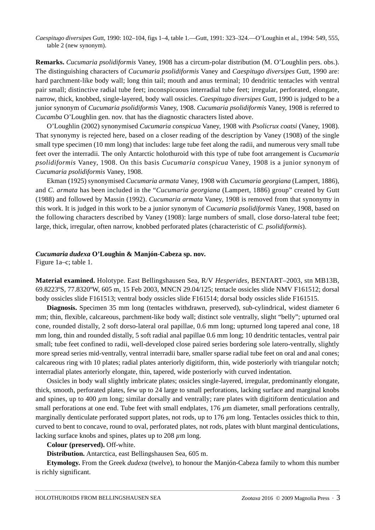*Caespitugo diversipes* Gutt, 1990: 102–104, figs 1–4, table 1.—Gutt, 1991: 323–324.—O'Loughin et al., 1994: 549, 555, table 2 (new synonym).

**Remarks.** *Cucumaria psolidiformis* Vaney, 1908 has a circum-polar distribution (M. O'Loughlin pers. obs.). The distinguishing characters of *Cucumaria psolidiformis* Vaney and *Caespitugo diversipes* Gutt, 1990 are: hard parchment-like body wall; long thin tail; mouth and anus terminal; 10 dendritic tentacles with ventral pair small; distinctive radial tube feet; inconspicuous interradial tube feet; irregular, perforated, elongate, narrow, thick, knobbed, single-layered, body wall ossicles. *Caespitugo diversipes* Gutt, 1990 is judged to be a junior synonym of *Cucumaria psolidiformis* Vaney, 1908. *Cucumaria psolidiformis* Vaney, 1908 is referred to *Cucamba* O'Loughlin gen. nov. that has the diagnostic characters listed above.

O'Loughlin (2002) synonymised *Cucumaria conspicua* Vaney, 1908 with *Psolicrux coatsi* (Vaney, 1908). That synonymy is rejected here, based on a closer reading of the description by Vaney (1908) of the single small type specimen (10 mm long) that includes: large tube feet along the radii, and numerous very small tube feet over the interradii. The only Antarctic holothuroid with this type of tube foot arrangement is *Cucumaria psolidiformis* Vaney, 1908. On this basis *Cucumaria conspicua* Vaney, 1908 is a junior synonym of *Cucumaria psolidiformis* Vaney, 1908.

Ekman (1925) synonymised *Cucumaria armata* Vaney, 1908 with *Cucumaria georgiana* (Lampert, 1886), and *C. armata* has been included in the "*Cucumaria georgiana* (Lampert, 1886) group" created by Gutt (1988) and followed by Massin (1992). *Cucumaria armata* Vaney, 1908 is removed from that synonymy in this work. It is judged in this work to be a junior synonym of *Cucumaria psolidiformis* Vaney, 1908, based on the following characters described by Vaney (1908): large numbers of small, close dorso-lateral tube feet; large, thick, irregular, often narrow, knobbed perforated plates (characteristic of *C. psolidiformis*).

# *Cucumaria dudexa* **O'Loughin & Manjón-Cabeza sp. nov.**

Figure 1a–c; table 1.

**Material examined.** Holotype. East Bellingshausen Sea, R/V *Hesperides*, BENTART–2003, stn MB13B, 69.8223ºS, 77.8320ºW, 605 m, 15 Feb 2003, MNCN 29.04/125; tentacle ossicles slide NMV F161512; dorsal body ossicles slide F161513; ventral body ossicles slide F161514; dorsal body ossicles slide F161515.

**Diagnosis.** Specimen 35 mm long (tentacles withdrawn, preserved), sub-cylindrical, widest diameter 6 mm; thin, flexible, calcareous, parchment-like body wall; distinct sole ventrally, slight "belly"; upturned oral cone, rounded distally, 2 soft dorso-lateral oral papillae, 0.6 mm long; upturned long tapered anal cone, 18 mm long, thin and rounded distally, 5 soft radial anal papillae 0.6 mm long; 10 dendritic tentacles, ventral pair small; tube feet confined to radii, well-developed close paired series bordering sole latero-ventrally, slightly more spread series mid-ventrally, ventral interradii bare, smaller sparse radial tube feet on oral and anal cones; calcareous ring with 10 plates; radial plates anteriorly digitiform, thin, wide posteriorly with triangular notch; interradial plates anteriorly elongate, thin, tapered, wide posteriorly with curved indentation.

Ossicles in body wall slightly imbricate plates; ossicles single-layered, irregular, predominantly elongate, thick, smooth, perforated plates, few up to 24 large to small perforations, lacking surface and marginal knobs and spines, up to 400  $\mu$ m long; similar dorsally and ventrally; rare plates with digitiform denticulation and small perforations at one end. Tube feet with small endplates, 176  $\mu$ m diameter, small perforations centrally, marginally denticulate perforated support plates, not rods, up to 176  $\mu$ m long. Tentacles ossicles thick to thin, curved to bent to concave, round to oval, perforated plates, not rods, plates with blunt marginal denticulations, lacking surface knobs and spines, plates up to 208  $\mu$ m long.

**Colour (preserved).** Off-white.

**Distribution.** Antarctica, east Bellingshausen Sea, 605 m.

**Etymology.** From the Greek *dudexa* (twelve), to honour the Manjón-Cabeza family to whom this number is richly significant.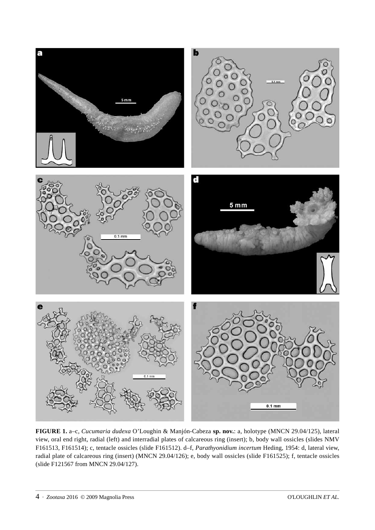

**FIGURE 1.** a–c, *Cucumaria dudexa* O'Loughin & Manjón-Cabeza **sp. nov.**: a, holotype (MNCN 29.04/125), lateral view, oral end right, radial (left) and interradial plates of calcareous ring (insert); b, body wall ossicles (slides NMV F161513, F161514); c, tentacle ossicles (slide F161512). d–f, *Parathyonidium incertum* Heding, 1954: d, lateral view, radial plate of calcareous ring (insert) (MNCN 29.04/126); e, body wall ossicles (slide F161525); f, tentacle ossicles (slide F121567 from MNCN 29.04/127).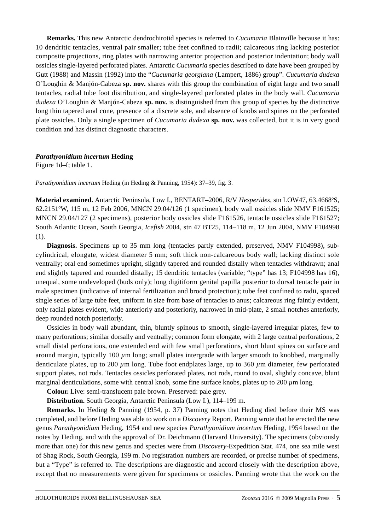**Remarks.** This new Antarctic dendrochirotid species is referred to *Cucumaria* Blainville because it has: 10 dendritic tentacles, ventral pair smaller; tube feet confined to radii; calcareous ring lacking posterior composite projections, ring plates with narrowing anterior projection and posterior indentation; body wall ossicles single-layered perforated plates. Antarctic *Cucumaria* species described to date have been grouped by Gutt (1988) and Massin (1992) into the "*Cucumaria georgiana* (Lampert, 1886) group". *Cucumaria dudexa* O'Loughin & Manjón-Cabeza **sp. nov.** shares with this group the combination of eight large and two small tentacles, radial tube foot distribution, and single-layered perforated plates in the body wall. *Cucumaria dudexa* O'Loughin & Manjón-Cabeza **sp. nov.** is distinguished from this group of species by the distinctive long thin tapered anal cone, presence of a discrete sole, and absence of knobs and spines on the perforated plate ossicles. Only a single specimen of *Cucumaria dudexa* **sp. nov.** was collected, but it is in very good condition and has distinct diagnostic characters.

### *Parathyonidium incertum* **Heding**

Figure 1d–f; table 1.

*Parathyonidium incertum* Heding (in Heding & Panning, 1954): 37–39, fig. 3.

**Material examined.** Antarctic Peninsula, Low I., BENTART–2006, R/V *Hesperides*, stn LOW47, 63.4668ºS, 62.2151ºW, 115 m, 12 Feb 2006, MNCN 29.04/126 (1 specimen), body wall ossicles slide NMV F161525; MNCN 29.04/127 (2 specimens), posterior body ossicles slide F161526, tentacle ossicles slide F161527; South Atlantic Ocean, South Georgia, *Icefish* 2004, stn 47 BT25, 114–118 m, 12 Jun 2004, NMV F104998 (1).

**Diagnosis.** Specimens up to 35 mm long (tentacles partly extended, preserved, NMV F104998), subcylindrical, elongate, widest diameter 5 mm; soft thick non-calcareous body wall; lacking distinct sole ventrally; oral end sometimes upright, slightly tapered and rounded distally when tentacles withdrawn; anal end slightly tapered and rounded distally; 15 dendritic tentacles (variable; "type" has 13; F104998 has 16), unequal, some undeveloped (buds only); long digitiform genital papilla posterior to dorsal tentacle pair in male specimen (indicative of internal fertilization and brood protection); tube feet confined to radii, spaced single series of large tube feet, uniform in size from base of tentacles to anus; calcareous ring faintly evident, only radial plates evident, wide anteriorly and posteriorly, narrowed in mid-plate, 2 small notches anteriorly, deep rounded notch posteriorly.

Ossicles in body wall abundant, thin, bluntly spinous to smooth, single-layered irregular plates, few to many perforations; similar dorsally and ventrally; common form elongate, with 2 large central perforations, 2 small distal perforations, one extended end with few small perforations, short blunt spines on surface and around margin, typically 100 *µ*m long; small plates intergrade with larger smooth to knobbed, marginally denticulate plates, up to 200  $\mu$ m long. Tube foot endplates large, up to 360  $\mu$ m diameter, few perforated support plates, not rods. Tentacles ossicles perforated plates, not rods, round to oval, slightly concave, blunt marginal denticulations, some with central knob, some fine surface knobs, plates up to 200  $\mu$ m long.

**Colour.** Live: semi-translucent pale brown. Preserved: pale grey.

**Distribution.** South Georgia, Antarctic Peninsula (Low I.), 114–199 m.

**Remarks.** In Heding & Panning (1954, p. 37) Panning notes that Heding died before their MS was completed, and before Heding was able to work on a *Discovery* Report. Panning wrote that he erected the new genus *Parathyonidium* Heding, 1954 and new species *Parathyonidium incertum* Heding, 1954 based on the notes by Heding, and with the approval of Dr. Deichmann (Harvard University). The specimens (obviously more than one) for this new genus and species were from *Discovery*-Expedition Stat. 474, one sea mile west of Shag Rock, South Georgia, 199 m. No registration numbers are recorded, or precise number of specimens, but a "Type" is referred to. The descriptions are diagnostic and accord closely with the description above, except that no measurements were given for specimens or ossicles. Panning wrote that the work on the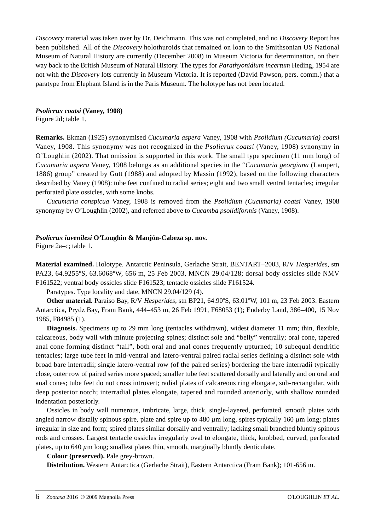*Discovery* material was taken over by Dr. Deichmann. This was not completed, and no *Discovery* Report has been published. All of the *Discovery* holothuroids that remained on loan to the Smithsonian US National Museum of Natural History are currently (December 2008) in Museum Victoria for determination, on their way back to the British Museum of Natural History. The types for *Parathyonidium incertum* Heding, 1954 are not with the *Discovery* lots currently in Museum Victoria. It is reported (David Pawson, pers. comm.) that a paratype from Elephant Island is in the Paris Museum. The holotype has not been located.

*Psolicrux coatsi* **(Vaney, 1908)**

Figure 2d; table 1.

**Remarks.** Ekman (1925) synonymised *Cucumaria aspera* Vaney, 1908 with *Psolidium (Cucumaria) coatsi* Vaney, 1908. This synonymy was not recognized in the *Psolicrux coatsi* (Vaney, 1908) synonymy in O'Loughlin (2002). That omission is supported in this work. The small type specimen (11 mm long) of *Cucumaria aspera* Vaney, 1908 belongs as an additional species in the "*Cucumaria georgiana* (Lampert, 1886) group" created by Gutt (1988) and adopted by Massin (1992), based on the following characters described by Vaney (1908): tube feet confined to radial series; eight and two small ventral tentacles; irregular perforated plate ossicles, with some knobs.

*Cucumaria conspicua* Vaney, 1908 is removed from the *Psolidium (Cucumaria) coatsi* Vaney, 1908 synonymy by O'Loughlin (2002), and referred above to *Cucamba psolidiformis* (Vaney, 1908).

# *Psolicrux iuvenilesi* **O'Loughin & Manjón-Cabeza sp. nov.**

Figure 2a–c; table 1.

**Material examined.** Holotype. Antarctic Peninsula, Gerlache Strait, BENTART–2003, R/V *Hesperides*, stn PA23, 64.9255ºS, 63.6068ºW, 656 m, 25 Feb 2003, MNCN 29.04/128; dorsal body ossicles slide NMV F161522; ventral body ossicles slide F161523; tentacle ossicles slide F161524.

Paratypes. Type locality and date, MNCN 29.04/129 (4).

**Other material.** Paraiso Bay, R/V *Hesperides*, stn BP21, 64.90ºS, 63.01ºW, 101 m, 23 Feb 2003. Eastern Antarctica, Prydz Bay, Fram Bank, 444–453 m, 26 Feb 1991, F68053 (1); Enderby Land, 386–400, 15 Nov 1985, F84985 (1).

**Diagnosis.** Specimens up to 29 mm long (tentacles withdrawn), widest diameter 11 mm; thin, flexible, calcareous, body wall with minute projecting spines; distinct sole and "belly" ventrally; oral cone, tapered anal cone forming distinct "tail", both oral and anal cones frequently upturned; 10 subequal dendritic tentacles; large tube feet in mid-ventral and latero-ventral paired radial series defining a distinct sole with broad bare interradii; single latero-ventral row (of the paired series) bordering the bare interradii typically close, outer row of paired series more spaced; smaller tube feet scattered dorsally and laterally and on oral and anal cones; tube feet do not cross introvert; radial plates of calcareous ring elongate, sub-rectangular, with deep posterior notch; interradial plates elongate, tapered and rounded anteriorly, with shallow rounded indentation posteriorly.

Ossicles in body wall numerous, imbricate, large, thick, single-layered, perforated, smooth plates with angled narrow distally spinous spire, plate and spire up to 480  $\mu$ m long, spires typically 160  $\mu$ m long; plates irregular in size and form; spired plates similar dorsally and ventrally; lacking small branched bluntly spinous rods and crosses. Largest tentacle ossicles irregularly oval to elongate, thick, knobbed, curved, perforated plates, up to 640 *µ*m long; smallest plates thin, smooth, marginally bluntly denticulate.

**Colour (preserved).** Pale grey-brown.

**Distribution.** Western Antarctica (Gerlache Strait), Eastern Antarctica (Fram Bank); 101-656 m.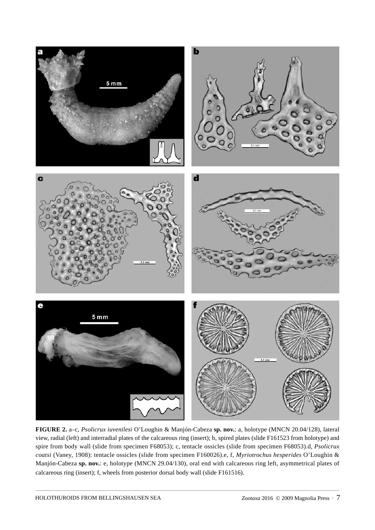

**FIGURE 2.** a–c, *Psolicrux iuvenilesi* O'Loughin & Manjón-Cabeza **sp. nov.**: a, holotype (MNCN 20.04/128), lateral view, radial (left) and interradial plates of the calcareous ring (insert); b, spired plates (slide F161523 from holotype) and spire from body wall (slide from specimen F68053); c, tentacle ossicles (slide from specimen F68053).d, *Psolicrux coatsi* (Vaney, 1908): tentacle ossicles (slide from specimen F160026).e, f, *Myriotrochus hesperides* O'Loughin & Manjón-Cabeza **sp. nov.**: e, holotype (MNCN 29.04/130), oral end with calcareous ring left, asymmetrical plates of calcareous ring (insert); f, wheels from posterior dorsal body wall (slide F161516).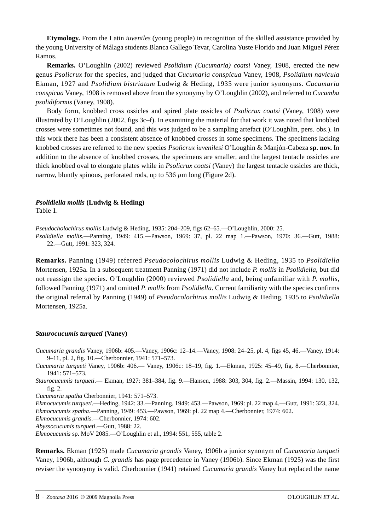**Etymology.** From the Latin *iuveniles* (young people) in recognition of the skilled assistance provided by the young University of Málaga students Blanca Gallego Tevar, Carolina Yuste Florido and Juan Miguel Pérez Ramos.

**Remarks.** O'Loughlin (2002) reviewed *Psolidium (Cucumaria) coatsi* Vaney, 1908, erected the new genus *Psolicrux* for the species, and judged that *Cucumaria conspicua* Vaney, 1908, *Psolidium navicula* Ekman, 1927 and *Psolidium bistriatum* Ludwig & Heding, 1935 were junior synonyms. *Cucumaria conspicua* Vaney, 1908 is removed above from the synonymy by O'Loughlin (2002), and referred to *Cucamba psolidiformis* (Vaney, 1908).

Body form, knobbed cross ossicles and spired plate ossicles of *Psolicrux coatsi* (Vaney, 1908) were illustrated by O'Loughlin (2002, figs 3c–f). In examining the material for that work it was noted that knobbed crosses were sometimes not found, and this was judged to be a sampling artefact (O'Loughlin, pers. obs.). In this work there has been a consistent absence of knobbed crosses in some specimens. The specimens lacking knobbed crosses are referred to the new species *Psolicrux iuvenilesi* O'Loughin & Manjón-Cabeza **sp. nov.** In addition to the absence of knobbed crosses, the specimens are smaller, and the largest tentacle ossicles are thick knobbed oval to elongate plates while in *Psolicrux coatsi* (Vaney) the largest tentacle ossicles are thick, narrow, bluntly spinous, perforated rods, up to 536  $\mu$ m long (Figure 2d).

### *Psolidiella mollis* **(Ludwig & Heding)**

Table 1.

*Pseudocholochirus mollis* Ludwig & Heding, 1935: 204–209, figs 62–65.—O'Loughlin, 2000: 25.

*Psolidiella mollis.*—Panning, 1949: 415.—Pawson, 1969: 37, pl. 22 map 1.—Pawson, 1970: 36.—Gutt, 1988: 22.—Gutt, 1991: 323, 324.

**Remarks.** Panning (1949) referred *Pseudocolochirus mollis* Ludwig & Heding, 1935 to *Psolidiella* Mortensen, 1925a. In a subsequent treatment Panning (1971) did not include *P. mollis* in *Psolidiella*, but did not reassign the species. O'Loughlin (2000) reviewed *Psolidiella* and, being unfamiliar with *P. mollis*, followed Panning (1971) and omitted *P. mollis* from *Psolidiella*. Current familiarity with the species confirms the original referral by Panning (1949) of *Pseudocolochirus mollis* Ludwig & Heding, 1935 to *Psolidiella* Mortensen, 1925a.

### *Staurocucumis turqueti* **(Vaney)**

*Cucumaria grandis* Vaney, 1906b: 405.—Vaney, 1906c: 12–14.—Vaney, 1908: 24–25, pl. 4, figs 45, 46.—Vaney, 1914: 9–11, pl. 2, fig. 10.—Cherbonnier, 1941: 571–573.

*Cucumaria turqueti* Vaney, 1906b: 406.— Vaney, 1906c: 18–19, fig. 1.—Ekman, 1925: 45–49, fig. 8.—Cherbonnier, 1941: 571–573.

*Staurocucumis turqueti*.— Ekman, 1927: 381–384, fig. 9.—Hansen, 1988: 303, 304, fig. 2.—Massin, 1994: 130, 132, fig. 2.

*Cucumaria spatha* Cherbonnier, 1941: 571–573.

*Ekmocucumis turqueti*.—Heding, 1942: 33.—Panning, 1949: 453.—Pawson, 1969: pl. 22 map 4.—Gutt, 1991: 323, 324. *Ekmocucumis spatha*.—Panning, 1949: 453.—Pawson, 1969: pl. 22 map 4.—Cherbonnier, 1974: 602.

*Ekmocucumis grandis*.—Cherbonnier, 1974: 602.

*Abyssocucumis turqueti*.—Gutt, 1988: 22.

*Ekmocucumis* sp. MoV 2085.—O'Loughlin et al., 1994: 551, 555, table 2.

**Remarks.** Ekman (1925) made *Cucumaria grandis* Vaney, 1906b a junior synonym of *Cucumaria turqueti* Vaney, 1906b, although *C. grandis* has page precedence in Vaney (1906b). Since Ekman (1925) was the first reviser the synonymy is valid. Cherbonnier (1941) retained *Cucumaria grandis* Vaney but replaced the name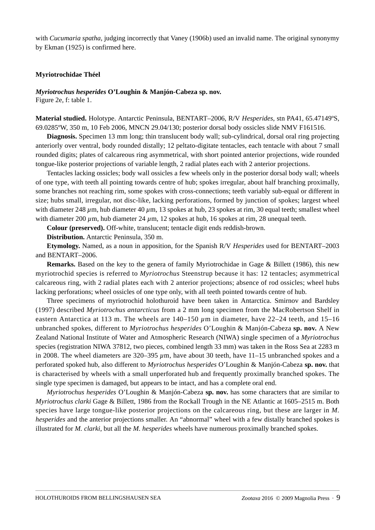with *Cucumaria spatha*, judging incorrectly that Vaney (1906b) used an invalid name. The original synonymy by Ekman (1925) is confirmed here.

#### **Myriotrochidae Théel**

*Myriotrochus hesperides* **O'Loughin & Manjón-Cabeza sp. nov.**

Figure 2e, f: table 1.

**Material studied.** Holotype. Antarctic Peninsula, BENTART–2006, R/V *Hesperides*, stn PA41, 65.47149ºS, 69.0285ºW, 350 m, 10 Feb 2006, MNCN 29.04/130; posterior dorsal body ossicles slide NMV F161516.

**Diagnosis.** Specimen 13 mm long; thin translucent body wall; sub-cylindrical, dorsal oral ring projecting anteriorly over ventral, body rounded distally; 12 peltato-digitate tentacles, each tentacle with about 7 small rounded digits; plates of calcareous ring asymmetrical, with short pointed anterior projections, wide rounded tongue-like posterior projections of variable length, 2 radial plates each with 2 anterior projections.

Tentacles lacking ossicles; body wall ossicles a few wheels only in the posterior dorsal body wall; wheels of one type, with teeth all pointing towards centre of hub; spokes irregular, about half branching proximally, some branches not reaching rim, some spokes with cross-connections; teeth variably sub-equal or different in size; hubs small, irregular, not disc-like, lacking perforations, formed by junction of spokes; largest wheel with diameter 248  $\mu$ m, hub diameter 40  $\mu$ m, 13 spokes at hub, 23 spokes at rim, 30 equal teeth; smallest wheel with diameter 200  $\mu$ m, hub diameter 24  $\mu$ m, 12 spokes at hub, 16 spokes at rim, 28 unequal teeth.

**Colour (preserved).** Off-white, translucent; tentacle digit ends reddish-brown.

**Distribution.** Antarctic Peninsula, 350 m.

**Etymology.** Named, as a noun in apposition, for the Spanish R/V *Hesperides* used for BENTART–2003 and BENTART–2006.

**Remarks.** Based on the key to the genera of family Myriotrochidae in Gage & Billett (1986), this new myriotrochid species is referred to *Myriotrochus* Steenstrup because it has: 12 tentacles; asymmetrical calcareous ring, with 2 radial plates each with 2 anterior projections; absence of rod ossicles; wheel hubs lacking perforations; wheel ossicles of one type only, with all teeth pointed towards centre of hub.

Three specimens of myriotrochid holothuroid have been taken in Antarctica. Smirnov and Bardsley (1997) described *Myriotrochus antarcticus* from a 2 mm long specimen from the MacRobertson Shelf in eastern Antarctica at 113 m. The wheels are 140–150 *µ*m in diameter, have 22–24 teeth, and 15–16 unbranched spokes, different to *Myriotrochus hesperides* O'Loughin & Manjón-Cabeza **sp. nov.** A New Zealand National Institute of Water and Atmospheric Research (NIWA) single specimen of a *Myriotrochus* species (registration NIWA 37812, two pieces, combined length 33 mm) was taken in the Ross Sea at 2283 m in 2008. The wheel diameters are 320–395 *µ*m, have about 30 teeth, have 11–15 unbranched spokes and a perforated spoked hub, also different to *Myriotrochus hesperides* O'Loughin & Manjón-Cabeza **sp. nov.** that is characterised by wheels with a small unperforated hub and frequently proximally branched spokes. The single type specimen is damaged, but appears to be intact, and has a complete oral end.

*Myriotrochus hesperides* O'Loughin & Manjón-Cabeza **sp. nov.** has some characters that are similar to *Myriotrochus clarki* Gage & Billett, 1986 from the Rockall Trough in the NE Atlantic at 1605–2515 m. Both species have large tongue-like posterior projections on the calcareous ring, but these are larger in *M. hesperides* and the anterior projections smaller. An "abnormal" wheel with a few distally branched spokes is illustrated for *M. clarki*, but all the *M. hesperides* wheels have numerous proximally branched spokes.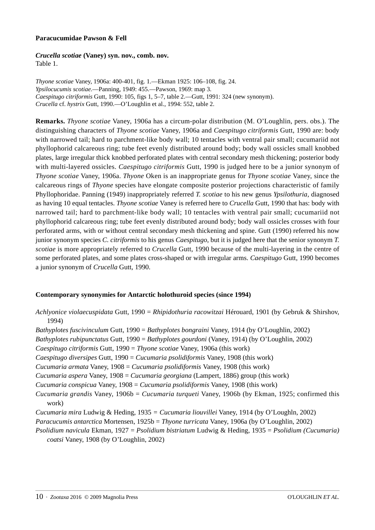## **Paracucumidae Pawson & Fell**

*Crucella scotiae* **(Vaney) syn. nov., comb. nov.**

Table 1.

*Thyone scotiae* Vaney, 1906a: 400-401, fig. 1.—Ekman 1925: 106–108, fig. 24. *Ypsilocucumis scotiae*.—Panning, 1949: 455.—Pawson, 1969: map 3. *Caespitugo citriformis* Gutt, 1990: 105, figs 1, 5–7, table 2.—Gutt, 1991: 324 (new synonym). *Crucella* cf. *hystrix* Gutt, 1990.—O'Loughlin et al., 1994: 552, table 2.

**Remarks.** *Thyone scotiae* Vaney, 1906a has a circum-polar distribution (M. O'Loughlin, pers. obs.). The distinguishing characters of *Thyone scotiae* Vaney, 1906a and *Caespitugo citriformis* Gutt, 1990 are: body with narrowed tail; hard to parchment-like body wall; 10 tentacles with ventral pair small; cucumariid not phyllophorid calcareous ring; tube feet evenly distributed around body; body wall ossicles small knobbed plates, large irregular thick knobbed perforated plates with central secondary mesh thickening; posterior body with multi-layered ossicles. *Caespitugo citriformis* Gutt, 1990 is judged here to be a junior synonym of *Thyone scotiae* Vaney, 1906a. *Thyone* Oken is an inappropriate genus for *Thyone scotiae* Vaney, since the calcareous rings of *Thyone* species have elongate composite posterior projections characteristic of family Phyllophoridae. Panning (1949) inappropriately referred *T. scotiae* to his new genus *Ypsilothuria*, diagnosed as having 10 equal tentacles. *Thyone scotiae* Vaney is referred here to *Crucella* Gutt, 1990 that has: body with narrowed tail; hard to parchment-like body wall; 10 tentacles with ventral pair small; cucumariid not phyllophorid calcareous ring; tube feet evenly distributed around body; body wall ossicles crosses with four perforated arms, with or without central secondary mesh thickening and spine. Gutt (1990) referred his now junior synonym species *C. citriformis* to his genus *Caespitugo*, but it is judged here that the senior synonym *T. scotiae* is more appropriately referred to *Crucella* Gutt, 1990 because of the multi-layering in the centre of some perforated plates, and some plates cross-shaped or with irregular arms. *Caespitugo* Gutt, 1990 becomes a junior synonym of *Crucella* Gutt, 1990.

# **Contemporary synonymies for Antarctic holothuroid species (since 1994)**

- *Achlyonice violaecuspidata* Gutt, 1990 = *Rhipidothuria racowitzai* Hérouard, 1901 (by Gebruk & Shirshov, 1994)
- *Bathyplotes fuscivinculum* Gutt, 1990 = *Bathyplotes bongraini* Vaney, 1914 (by O'Loughlin, 2002)
- *Bathyplotes rubipunctatus* Gutt, 1990 = *Bathyplotes gourdoni* (Vaney, 1914) (by O'Loughlin, 2002)

*Caespitugo citriformis* Gutt, 1990 = *Thyone scotiae* Vaney, 1906a (this work)

*Caespitugo diversipes* Gutt, 1990 = *Cucumaria psolidiformis* Vaney, 1908 (this work)

*Cucumaria armata* Vaney, 1908 = *Cucumaria psolidiformis* Vaney, 1908 (this work)

*Cucumaria aspera* Vaney, 1908 = *Cucumaria georgiana* (Lampert, 1886) group (this work)

*Cucumaria conspicua* Vaney, 1908 = *Cucumaria psolidiformis* Vaney, 1908 (this work)

*Cucumaria grandis* Vaney, 1906b = *Cucumaria turqueti* Vaney, 1906b (by Ekman, 1925; confirmed this work)

*Cucumaria mira* Ludwig & Heding, 1935 *= Cucumaria liouvillei* Vaney, 1914 (by O'Loughln, 2002)

*Paracucumis antarctica* Mortensen, 1925b = *Thyone turricata* Vaney, 1906a (by O'Loughlin, 2002)

*Psolidium navicula* Ekman, 1927 = *Psolidium bistriatum* Ludwig & Heding, 1935 = *Psolidium (Cucumaria) coatsi* Vaney, 1908 (by O'Loughlin, 2002)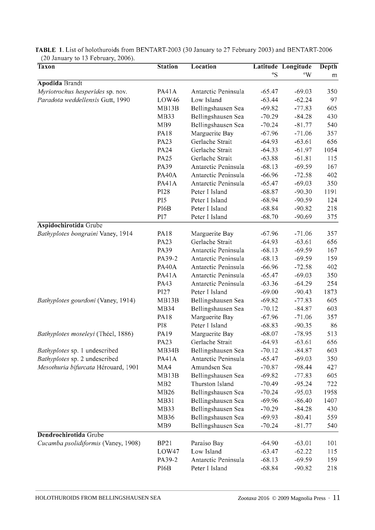| <b>Taxon</b>                        | <b>Station</b>     | Location            |             | Latitude Longitude  | Depth |
|-------------------------------------|--------------------|---------------------|-------------|---------------------|-------|
|                                     |                    |                     | $^{\circ}S$ | $\,^{\rm o}{\rm W}$ | m     |
| <b>Apodida Brandt</b>               |                    |                     |             |                     |       |
| Myriotrochus hesperides sp. nov.    | PA41A              | Antarctic Peninsula | $-65.47$    | $-69.03$            | 350   |
| Paradota weddellensis Gutt, 1990    | LOW46              | Low Island          | $-63.44$    | $-62.24$            | 97    |
|                                     | MB <sub>13</sub> B | Bellingshausen Sea  | $-69.82$    | $-77.83$            | 605   |
|                                     | MB33               | Bellingshausen Sea  | $-70.29$    | $-84.28$            | 430   |
|                                     | MB9                | Bellingshausen Sea  | $-70.24$    | $-81.77$            | 540   |
|                                     | <b>PA18</b>        | Marguerite Bay      | $-67.96$    | $-71.06$            | 357   |
|                                     | <b>PA23</b>        | Gerlache Strait     | $-64.93$    | $-63.61$            | 656   |
|                                     | <b>PA24</b>        | Gerlache Strait     | $-64.33$    | $-61.97$            | 1054  |
|                                     | <b>PA25</b>        | Gerlache Strait     | $-63.88$    | $-61.81$            | 115   |
|                                     | PA39               | Antarctic Peninsula | $-68.13$    | $-69.59$            | 167   |
|                                     | PA40A              | Antarctic Peninsula | $-66.96$    | $-72.58$            | 402   |
|                                     | PA41A              | Antarctic Peninsula | $-65.47$    | $-69.03$            | 350   |
|                                     | <b>PI28</b>        | Peter I Island      | $-68.87$    | $-90.30$            | 1191  |
|                                     | PI <sub>5</sub>    | Peter I Island      | $-68.94$    | $-90.59$            | 124   |
|                                     | PI6B               | Peter I Island      | $-68.84$    | $-90.82$            | 218   |
|                                     | PI7                | Peter I Island      | $-68.70$    | $-90.69$            | 375   |
| Aspidochirotida Grube               |                    |                     |             |                     |       |
| Bathyplotes bongraini Vaney, 1914   | <b>PA18</b>        | Marguerite Bay      | $-67.96$    | $-71.06$            | 357   |
|                                     | <b>PA23</b>        | Gerlache Strait     | $-64.93$    | $-63.61$            | 656   |
|                                     | PA39               | Antarctic Peninsula | $-68.13$    | $-69.59$            | 167   |
|                                     | PA39-2             | Antarctic Peninsula | $-68.13$    | $-69.59$            | 159   |
|                                     | PA40A              | Antarctic Peninsula | $-66.96$    | $-72.58$            | 402   |
|                                     | PA41A              | Antarctic Peninsula | $-65.47$    | $-69.03$            | 350   |
|                                     | PA43               | Antarctic Peninsula | $-63.36$    | $-64.29$            | 254   |
|                                     | PI27               | Peter I Island      | $-69.00$    | $-90.43$            | 1873  |
| Bathyplotes gourdoni (Vaney, 1914)  | MB13B              | Bellingshausen Sea  | $-69.82$    | $-77.83$            | 605   |
|                                     | <b>MB34</b>        | Bellingshausen Sea  | $-70.12$    | $-84.87$            | 603   |
|                                     | <b>PA18</b>        | Marguerite Bay      | $-67.96$    | $-71.06$            | 357   |
|                                     | PI8                | Peter I Island      | $-68.83$    | $-90.35$            | 86    |
| Bathyplotes moseleyi (Théel, 1886)  | PA19               | Marguerite Bay      | $-68.07$    | $-78.95$            | 513   |
|                                     | <b>PA23</b>        | Gerlache Strait     | -64.93      | -63.61              | 656   |
| Bathyplotes sp. 1 undescribed       | MB34B              | Bellingshausen Sea  | $-70.12$    | $-84.87$            | 603   |
| Bathyplotes sp. 2 undescribed       | PA41A              | Antarctic Peninsula | $-65.47$    | $-69.03$            | 350   |
| Mesothuria bifurcata Hérouard, 1901 | MA4                | Amundsen Sea        | $-70.87$    | $-98.44$            | 427   |
|                                     | MB13B              | Bellingshausen Sea  | $-69.82$    | $-77.83$            | 605   |
|                                     | M <sub>B</sub> 2   | Thurston Island     | $-70.49$    | $-95.24$            | 722   |
|                                     | <b>MB26</b>        | Bellingshausen Sea  | $-70.24$    | $-95.03$            | 1958  |
|                                     | MB31               | Bellingshausen Sea  | $-69.96$    | $-86.40$            | 1407  |
|                                     | <b>MB33</b>        | Bellingshausen Sea  | $-70.29$    | $-84.28$            | 430   |
|                                     | <b>MB36</b>        | Bellingshausen Sea  | $-69.93$    | $-80.41$            | 559   |
|                                     | MB9                | Bellingshausen Sea  | $-70.24$    | $-81.77$            | 540   |
| Dendrochirotida Grube               |                    |                     |             |                     |       |
| Cucamba psolidiformis (Vaney, 1908) | <b>BP21</b>        | Paraiso Bay         | $-64.90$    | $-63.01$            | 101   |
|                                     | LOW47              | Low Island          | $-63.47$    | $-62.22$            | 115   |
|                                     | PA39-2             | Antarctic Peninsula | $-68.13$    | $-69.59$            | 159   |
|                                     | PI6B               | Peter I Island      | $-68.84$    | $-90.82$            | 218   |
|                                     |                    |                     |             |                     |       |

| TABLE 1. List of holothuroids from BENTART-2003 (30 January to 27 February 2003) and BENTART-2006 |  |  |
|---------------------------------------------------------------------------------------------------|--|--|
| $(20$ January to 13 February, 2006).                                                              |  |  |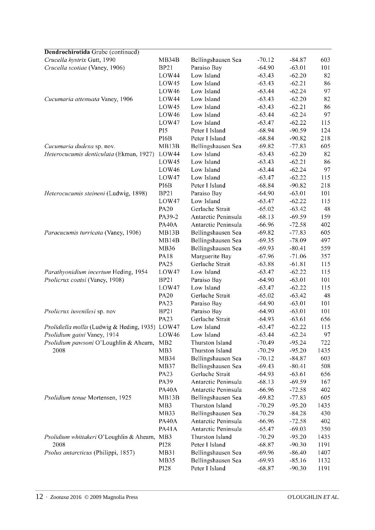| Dendrochirotida Grube (continued)                |                 |                     |          |          |      |
|--------------------------------------------------|-----------------|---------------------|----------|----------|------|
| Crucella hystrix Gutt, 1990                      | MB34B           | Bellingshausen Sea  | $-70.12$ | $-84.87$ | 603  |
| Crucella scotiae (Vaney, 1906)                   | <b>BP21</b>     | Paraiso Bay         | $-64.90$ | $-63.01$ | 101  |
|                                                  | LOW44           | Low Island          | $-63.43$ | $-62.20$ | 82   |
|                                                  | LOW45           | Low Island          | $-63.43$ | $-62.21$ | 86   |
|                                                  | LOW46           | Low Island          | $-63.44$ | $-62.24$ | 97   |
| Cucumaria attenuata Vaney, 1906                  | LOW44           | Low Island          | $-63.43$ | $-62.20$ | 82   |
|                                                  | LOW45           | Low Island          | $-63.43$ | $-62.21$ | 86   |
|                                                  | LOW46           | Low Island          | $-63.44$ | $-62.24$ | 97   |
|                                                  | LOW47           | Low Island          | $-63.47$ | $-62.22$ | 115  |
|                                                  | PI <sub>5</sub> | Peter I Island      | $-68.94$ | $-90.59$ | 124  |
|                                                  | PI6B            | Peter I Island      | $-68.84$ | $-90.82$ | 218  |
| Cucumaria dudexa sp. nov.                        | MB13B           | Bellingshausen Sea  | $-69.82$ | $-77.83$ | 605  |
| Heterocucumis denticulata (Ekman, 1927)          | LOW44           | Low Island          | $-63.43$ | $-62.20$ | 82   |
|                                                  | LOW45           | Low Island          | $-63.43$ | $-62.21$ | 86   |
|                                                  | LOW46           | Low Island          | $-63.44$ | $-62.24$ | 97   |
|                                                  | LOW47           | Low Island          | $-63.47$ | $-62.22$ | 115  |
|                                                  | PI6B            | Peter I Island      | $-68.84$ | $-90.82$ | 218  |
| Heterocucumis steineni (Ludwig, 1898)            | <b>BP21</b>     | Paraiso Bay         | $-64.90$ | $-63.01$ | 101  |
|                                                  | LOW47           | Low Island          | $-63.47$ | $-62.22$ | 115  |
|                                                  | <b>PA20</b>     | Gerlache Strait     |          | $-63.42$ | 48   |
|                                                  |                 |                     | $-65.02$ | $-69.59$ |      |
|                                                  | PA39-2          | Antarctic Peninsula | $-68.13$ |          | 159  |
|                                                  | PA40A           | Antarctic Peninsula | $-66.96$ | $-72.58$ | 402  |
| Paracucumis turricata (Vaney, 1906)              | MB13B           | Bellingshausen Sea  | $-69.82$ | $-77.83$ | 605  |
|                                                  | MB14B           | Bellingshausen Sea  | $-69.35$ | $-78.09$ | 497  |
|                                                  | MB36            | Bellingshausen Sea  | $-69.93$ | $-80.41$ | 559  |
|                                                  | <b>PA18</b>     | Marguerite Bay      | $-67.96$ | $-71.06$ | 357  |
|                                                  | <b>PA25</b>     | Gerlache Strait     | $-63.88$ | $-61.81$ | 115  |
| Parathyonidium incertum Heding, 1954             | LOW47           | Low Island          | $-63.47$ | $-62.22$ | 115  |
| Psolicrux coatsi (Vaney, 1908)                   | <b>BP21</b>     | Paraiso Bay         | $-64.90$ | $-63.01$ | 101  |
|                                                  | LOW47           | Low Island          | $-63.47$ | $-62.22$ | 115  |
|                                                  | <b>PA20</b>     | Gerlache Strait     | $-65.02$ | $-63.42$ | 48   |
|                                                  | <b>PA23</b>     | Paraiso Bay         | $-64.90$ | $-63.01$ | 101  |
| Psolicrux iuvenilesi sp. nov                     | <b>BP21</b>     | Paraiso Bay         | $-64.90$ | $-63.01$ | 101  |
|                                                  | <b>PA23</b>     | Gerlache Strait     | $-64.93$ | $-63.61$ | 656  |
| Psolidiella mollis (Ludwig & Heding, 1935) LOW47 |                 | Low Island          | $-63.47$ | $-62.22$ | 115  |
| Psolidium gaini Vaney, 1914                      | LOW46           | Low Island          | $-63.44$ | $-62.24$ | 97   |
| Psolidium pawsoni O'Loughlin & Ahearn,           | MB2             | Thurston Island     | $-70.49$ | $-95.24$ | 722  |
| 2008                                             | MB <sub>3</sub> | Thurston Island     | $-70.29$ | $-95.20$ | 1435 |
|                                                  | <b>MB34</b>     | Bellingshausen Sea  | $-70.12$ | $-84.87$ | 603  |
|                                                  | <b>MB37</b>     | Bellingshausen Sea  | $-69.43$ | $-80.41$ | 508  |
|                                                  | PA23            | Gerlache Strait     | $-64.93$ | $-63.61$ | 656  |
|                                                  | PA39            | Antarctic Peninsula | $-68.13$ | $-69.59$ | 167  |
|                                                  | PA40A           | Antarctic Peninsula | $-66.96$ | $-72.58$ | 402  |
| Psolidium tenue Mortensen, 1925                  | MB13B           | Bellingshausen Sea  | $-69.82$ | $-77.83$ | 605  |
|                                                  | MB3             | Thurston Island     | $-70.29$ | $-95.20$ | 1435 |
|                                                  | MB33            | Bellingshausen Sea  | $-70.29$ | $-84.28$ | 430  |
|                                                  | PA40A           | Antarctic Peninsula | $-66.96$ | $-72.58$ | 402  |
|                                                  | PA41A           | Antarctic Peninsula | $-65.47$ | $-69.03$ | 350  |
| Psolidium whittakeri O'Loughlin & Ahearn,        | MB3             | Thurston Island     | $-70.29$ | $-95.20$ | 1435 |
| 2008                                             | <b>PI28</b>     | Peter I Island      | $-68.87$ | $-90.30$ | 1191 |
| Psolus antarcticus (Philippi, 1857)              | <b>MB31</b>     | Bellingshausen Sea  | $-69.96$ | $-86.40$ | 1407 |
|                                                  | MB35            | Bellingshausen Sea  | $-69.93$ | $-85.16$ | 1132 |
|                                                  | <b>PI28</b>     | Peter I Island      | $-68.87$ | $-90.30$ | 1191 |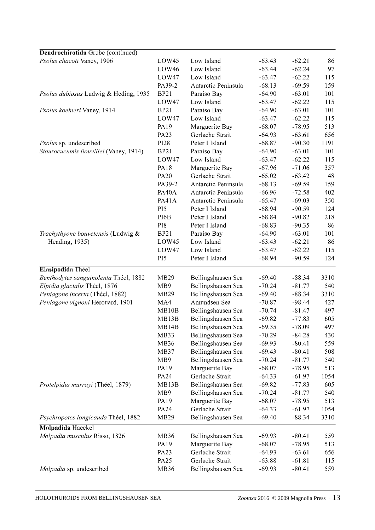| Dendrochirotida Grube (continued)      |                 |                     |          |          |      |
|----------------------------------------|-----------------|---------------------|----------|----------|------|
| Psolus chacoti Vaney, 1906             | LOW45           | Low Island          | $-63.43$ | $-62.21$ | 86   |
|                                        | LOW46           | Low Island          | $-63.44$ | $-62.24$ | 97   |
|                                        | LOW47           | Low Island          | $-63.47$ | $-62.22$ | 115  |
|                                        | PA39-2          | Antarctic Peninsula | $-68.13$ | $-69.59$ | 159  |
| Psolus dubiosus Ludwig & Heding, 1935  | <b>BP21</b>     | Paraiso Bay         | $-64.90$ | $-63.01$ | 101  |
|                                        | LOW47           | Low Island          | $-63.47$ | $-62.22$ | 115  |
| Psolus koehleri Vaney, 1914            | <b>BP21</b>     | Paraiso Bay         | $-64.90$ | $-63.01$ | 101  |
|                                        | LOW47           | Low Island          | $-63.47$ | $-62.22$ | 115  |
|                                        | PA19            | Marguerite Bay      | $-68.07$ | $-78.95$ | 513  |
|                                        | <b>PA23</b>     | Gerlache Strait     | $-64.93$ | $-63.61$ | 656  |
| Psolus sp. undescribed                 | PI28            | Peter I Island      | $-68.87$ | $-90.30$ | 1191 |
| Staurocucumis liouvillei (Vaney, 1914) | <b>BP21</b>     | Paraiso Bay         | $-64.90$ | $-63.01$ | 101  |
|                                        | LOW47           | Low Island          | $-63.47$ | $-62.22$ | 115  |
|                                        | PA18            | Marguerite Bay      | $-67.96$ | $-71.06$ | 357  |
|                                        | <b>PA20</b>     | Gerlache Strait     | $-65.02$ | $-63.42$ | 48   |
|                                        | PA39-2          | Antarctic Peninsula | $-68.13$ | $-69.59$ | 159  |
|                                        | PA40A           | Antarctic Peninsula | $-66.96$ | $-72.58$ | 402  |
|                                        | <b>PA41A</b>    | Antarctic Peninsula | $-65.47$ | $-69.03$ | 350  |
|                                        | PI <sub>5</sub> | Peter I Island      | $-68.94$ | $-90.59$ | 124  |
|                                        | PI6B            | Peter I Island      | $-68.84$ | $-90.82$ | 218  |
|                                        | PI8             | Peter I Island      | $-68.83$ | $-90.35$ | 86   |
| Trachythyone bouvetensis (Ludwig &     | <b>BP21</b>     | Paraiso Bay         | $-64.90$ | $-63.01$ | 101  |
| Heading, 1935)                         | LOW45           | Low Island          | $-63.43$ | $-62.21$ | 86   |
|                                        | LOW47           | Low Island          | $-63.47$ | $-62.22$ | 115  |
|                                        | PI5             | Peter I Island      | $-68.94$ | $-90.59$ | 124  |
| Elasipodida Théel                      |                 |                     |          |          |      |
| Benthodytes sanguinolenta Théel, 1882  | MB29            | Bellingshausen Sea  | $-69.40$ | $-88.34$ | 3310 |
| Elpidia glacialis Théel, 1876          | MB9             | Bellingshausen Sea  | $-70.24$ | $-81.77$ | 540  |
| Peniagone incerta (Théel, 1882)        | MB29            | Bellingshausen Sea  | $-69.40$ | $-88.34$ | 3310 |
| Peniagone vignoni Hérouard, 1901       | MA4             | Amundsen Sea        | $-70.87$ | $-98.44$ | 427  |
|                                        | MB10B           | Bellingshausen Sea  | $-70.74$ | $-81.47$ | 497  |
|                                        | MB13B           | Bellingshausen Sea  | $-69.82$ | $-77.83$ | 605  |
|                                        | MB14B           | Bellingshausen Sea  | $-69.35$ | $-78.09$ | 497  |
|                                        | MB33            | Bellingshausen Sea  | $-70.29$ | $-84.28$ | 430  |
|                                        | MB36            | Bellingshausen Sea  | $-69.93$ | $-80.41$ | 559  |
|                                        | <b>MB37</b>     | Bellingshausen Sea  | $-69.43$ | $-80.41$ | 508  |
|                                        | MB9             | Bellingshausen Sea  | $-70.24$ | $-81.77$ | 540  |
|                                        | PA19            | Marguerite Bay      | $-68.07$ | $-78.95$ | 513  |
|                                        | PA24            | Gerlache Strait     | $-64.33$ | $-61.97$ | 1054 |
| Protelpidia murrayi (Théel, 1879)      | MB13B           | Bellingshausen Sea  | $-69.82$ | $-77.83$ | 605  |
|                                        | MB9             | Bellingshausen Sea  | $-70.24$ | $-81.77$ | 540  |
|                                        | PA19            | Marguerite Bay      | $-68.07$ | $-78.95$ | 513  |
|                                        | PA24            | Gerlache Strait     | $-64.33$ | $-61.97$ | 1054 |
| Psychropotes longicauda Théel, 1882    | MB29            | Bellingshausen Sea  | $-69.40$ | $-88.34$ | 3310 |
| Molpadida Haeckel                      |                 |                     |          |          |      |
| Molpadia musculus Risso, 1826          | MB36            | Bellingshausen Sea  | $-69.93$ | $-80.41$ | 559  |
|                                        | PA19            | Marguerite Bay      | $-68.07$ | $-78.95$ | 513  |
|                                        | PA23            | Gerlache Strait     | $-64.93$ | $-63.61$ | 656  |
|                                        | <b>PA25</b>     | Gerlache Strait     | $-63.88$ | $-61.81$ | 115  |
| Molpadia sp. undescribed               | MB36            | Bellingshausen Sea  | $-69.93$ | $-80.41$ | 559  |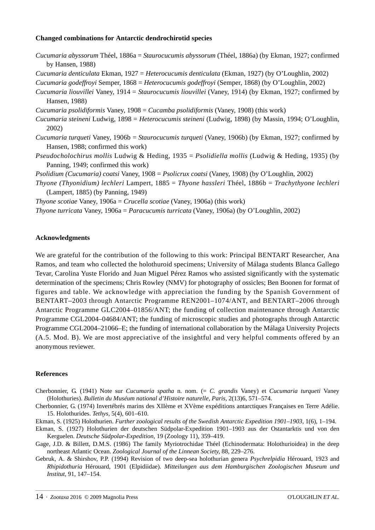#### **Changed combinations for Antarctic dendrochirotid species**

| Cucumaria abyssorum Théel, 1886a = Staurocucumis abyssorum (Théel, 1886a) (by Ekman, 1927; confirmed                                    |
|-----------------------------------------------------------------------------------------------------------------------------------------|
| by Hansen, $1988$ )                                                                                                                     |
| Cucumaria denticulata Ekman, 1927 = Heterocucumis denticulata (Ekman, 1927) (by O'Loughlin, 2002)                                       |
| Cucumaria godeffroyi Semper, 1868 = Heterocucumis godeffroyi (Semper, 1868) (by O'Loughlin, 2002)                                       |
| Cucumaria liouvillei Vaney, 1914 = Staurocucumis liouvillei (Vaney, 1914) (by Ekman, 1927; confirmed by                                 |
| Hansen, 1988)                                                                                                                           |
| <i>Cucumaria psolidiformis Vaney, 1908 = Cucamba psolidiformis (Vaney, 1908)</i> (this work)                                            |
| Cucumaria steineni Ludwig, 1898 = Heterocucumis steineni (Ludwig, 1898) (by Massin, 1994; O'Loughlin,<br>2002)                          |
| Cucumaria turqueti Vaney, 1906b = Staurocucumis turqueti (Vaney, 1906b) (by Ekman, 1927; confirmed by                                   |
| Hansen, 1988; confirmed this work)                                                                                                      |
| Pseudocholochirus mollis Ludwig & Heding, 1935 = Psolidiella mollis (Ludwig & Heding, 1935) (by<br>Panning, 1949; confirmed this work)  |
| Psolidium (Cucumaria) coatsi Vaney, 1908 = Psolicrux coatsi (Vaney, 1908) (by O'Loughlin, 2002)                                         |
| Thyone (Thyonidium) lechleri Lampert, 1885 = Thyone hassleri Théel, 1886b = Trachythyone lechleri<br>(Lampert, 1885) (by Panning, 1949) |
| Thyone scotiae Vaney, 1906a = Crucella scotiae (Vaney, 1906a) (this work)                                                               |
|                                                                                                                                         |

*Thyone turricata* Vaney, 1906a = *Paracucumis turricata* (Vaney, 1906a) (by O'Loughlin, 2002)

#### **Acknowledgments**

We are grateful for the contribution of the following to this work: Principal BENTART Researcher, Ana Ramos, and team who collected the holothuroid specimens; University of Málaga students Blanca Gallego Tevar, Carolina Yuste Florido and Juan Miguel Pérez Ramos who assisted significantly with the systematic determination of the specimens; Chris Rowley (NMV) for photography of ossicles; Ben Boonen for format of figures and table. We acknowledge with appreciation the funding by the Spanish Government of BENTART–2003 through Antarctic Programme REN2001–1074/ANT, and BENTART–2006 through Antarctic Programme GLC2004–01856/ANT; the funding of collection maintenance through Antarctic Programme CGL2004–04684/ANT; the funding of microscopic studies and photographs through Antarctic Programme CGL2004–21066–E; the funding of international collaboration by the Málaga University Projects (A.5. Mod. B). We are most appreciative of the insightful and very helpful comments offered by an anonymous reviewer.

#### **References**

- Cherbonnier, G. (1941) Note sur *Cucumaria spatha* n. nom. (= *C. grandis* Vaney) et *Cucumaria turqueti* Vaney (Holothuries). *Bulletin du Muséum national d'Histoire naturelle, Paris,* 2(13)6, 571–574.
- Cherbonnier, G. (1974) Invertébrés marins des XIIème et XVème expéditions antarctiques Françaises en Terre Adélie. 15. Holothurides. *Tethys,* 5(4), 601–610.
- Ekman, S. (1925) Holothurien. *Further zoological results of the Swedish Antarctic Expedition 1901*–*1903,* 1(6), 1–194.
- Ekman, S. (1927) Holothurien der deutschen Südpolar-Expedition 1901–1903 aus der Ostantarktis und von den Kerguelen. *Deutsche Südpolar-Expedition*, 19 (Zoology 11), 359–419.
- Gage, J.D. & Billett, D.M.S. (1986) The family Myriotrochidae Théel (Echinodermata: Holothurioidea) in the deep northeast Atlantic Ocean. *Zoological Journal of the Linnean Society,* 88, 229–276.
- Gebruk, A. & Shirshov, P.P. (1994) Revision of two deep-sea holothurian genera *Psychrelpidia* Hérouard, 1923 and *Rhipidothuria* Hérouard, 1901 (Elpidiidae). *Mitteilungen aus dem Hamburgischen Zoologischen Museum und Institut,* 91, 147–154.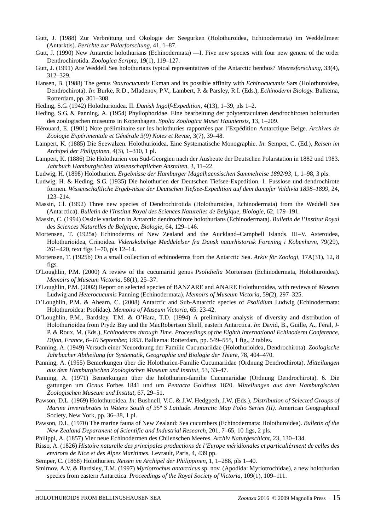- Gutt, J. (1988) Zur Verbreitung und Ökologie der Seegurken (Holothuroidea, Echinodermata) im Weddellmeer (Antarktis). *Berichte zur Polarforschung,* 41, 1–87.
- Gutt, J. (1990) New Antarctic holothurians (Echinodermata) —I. Five new species with four new genera of the order Dendrochirotida. *Zoologica Scripta,* 19(1), 119–127.
- Gutt, J. (1991) Are Weddell Sea holothurians typical representatives of the Antarctic benthos? *Meeresforschung,* 33(4), 312–329.
- Hansen, B. (1988) The genus *Staurocucumis* Ekman and its possible affinity with *Echinocucumis* Sars (Holothuroidea, Dendrochirota). *In*: Burke, R.D., Mladenov, P.V., Lambert, P. & Parsley, R.I. (Eds.), *Echinoderm Biology*. Balkema, Rotterdam, pp. 301–308.
- Heding, S.G. (1942) Holothurioidea. II. *Danish Ingolf-Expedition,* 4(13), 1–39, pls 1–2.
- Heding, S.G. & Panning, A. (1954) Phyllophoridae. Eine bearbeitung der polytentaculaten dendrochiroten holothurien des zoologischen museums in Kopenhagen. *Spolia Zoologica Musei Hauniensis,* 13, 1–209.
- Hérouard, E. (1901) Note préliminaire sur les holothuries rapportées par l'Expédition Antarctique Belge. *Archives de Zoologie Expérimentale et Générale 3(9) Notes et Revue,* 3(7), 39–48.
- Lampert, K. (1885) Die Seewalzen. Holothurioidea. Eine Systematische Monographie. *In*: Semper, C. (Ed.), *Reisen im Archipel der Philippinen,* 4(3), 1–310, 1 pl.
- Lampert, K. (1886) Die Holothurien von Süd-Georgien nach der Ausbeute der Deutschen Polarstation in 1882 und 1983. *Jahrbuch Hamburgischen Wissenschaftlichen Anstalten*, 3, 11–22.
- Ludwig, H. (1898) Holothurien. *Ergebnisse der Hamburger Magalhaensischen Sammelreise 1892/93,* 1, 1–98, 3 pls.
- Ludwig, H. & Heding, S.G. (1935) Die holothurien der Deutschen Tiefsee-Expedition. 1. Fusslose und dendrochirote formen. *Wissenschaftliche Ergeb-nisse der Deutschen Tiefsee-Expedition auf dem dampfer Valdivia 1898–1899,* 24, 123–214.
- Massin, Cl. (1992) Three new species of Dendrochirotida (Holothuroidea, Echinodermata) from the Weddell Sea (Antarctica). *Bulletin de l'Institut Royal des Sciences Naturelles de Belgique, Biologie,* 62, 179–191.
- Massin, C. (1994) Ossicle variation in Antarctic dendrochirote holothurians (Echinodermata). *Bulletin de l'Institut Royal des Sciences Naturelles de Belgique, Biologie,* 64, 129–146.
- Mortensen, T. (1925a) Echinoderms of New Zealand and the Auckland–Campbell Islands. III–V. Asteroidea, Holothurioidea, Crinoidea. *Videnskabelige Meddelelser fra Dansk naturhistorisk Forening i Kobenhavn,* 79(29), 261–420, text figs 1–70, pls 12–14.
- Mortensen, T. (1925b) On a small collection of echinoderms from the Antarctic Sea. *Arkiv för Zoologi*, 17A(31), 12, 8 figs.
- O'Loughlin, P.M. (2000) A review of the cucumariid genus *Psolidiella* Mortensen (Echinodermata, Holothuroidea). *Memoirs of Museum Victoria,* 58(1), 25–37.
- O'Loughlin, P.M. (2002) Report on selected species of BANZARE and ANARE Holothuroidea, with reviews of *Meseres* Ludwig and *Heterocucumis* Panning (Echinodermata). *Memoirs of Museum Victoria,* 59(2), 297–325.
- O'Loughlin, P.M. & Ahearn, C. (2008) Antarctic and Sub-Antarctic species of *Psolidium* Ludwig (Echinodermata: Holothuroidea: Psolidae). *Memoirs of Museum Victoria,* 65: 23-42.
- O'Loughlin, P.M., Bardsley, T.M. & O'Hara, T.D. (1994) A preliminary analysis of diversity and distribution of Holothurioidea from Prydz Bay and the MacRobertson Shelf, eastern Antarctica. *In*: David, B., Guille, A., Féral, J-P. & Roux, M. (Eds.), *Echinoderms through Time. Proceedings of the Eighth International Echinoderm Conference, Dijon, France, 6*–*10 September, 1993*. Balkema: Rotterdam, pp. 549–555, 1 fig., 2 tables.
- Panning, A. (1949) Versuch einer Neuordnung der Familie Cucumariidae (Holothurioidea, Dendrochirota). *Zoologische Jahrbücher Abtheilung für Systematik, Geographie und Biologie der Thiere,* 78, 404–470.
- Panning, A. (1955) Bemerkungen über die Holothurien-Familie Cucumariidae (Ordnung Dendrochirota). *Mitteilungen aus dem Hamburgischen Zoologischen Museum und Institut,* 53, 33–47.
- Panning, A. (1971) Bemerkungen über die holothurien-familie Cucumariidae (Ordnung Dendrochirota). 6. Die gattungen um *Ocnus* Forbes 1841 und um *Pentacta* Goldfuss 1820. *Mitteilungen aus dem Hamburgischen Zoologischen Museum und Institut,* 67, 29–51.
- Pawson, D.L. (1969) Holothuroidea. *In*: Bushnell, V.C. & J.W. Hedgpeth, J.W. (Eds.), *Distribution of Selected Groups of Marine Invertebrates in Waters South of 35º S Latitude. Antarctic Map Folio Series (II)*. American Geographical Society, New York, pp. 36–38, 1 pl.
- Pawson, D.L. (1970) The marine fauna of New Zealand: Sea cucumbers (Echinodermata: Holothuroidea). *Bulletin of the New Zealand Department of Scientific and Industrial Research,* 201, 7–65, 10 figs, 2 pls.
- Philippi, A. (1857) Vier neue Echinodermen des Chilenschen Meeres. *Archiv Naturgeschicht*, 23, 130–134.
- Risso, A. (1826) *Histoire naturelle des principales productions de l'Europe méridionales et particulièrment de celles des environs de Nice et des Alpes Maritimes.* Levrault, Paris, 4, 439 pp.
- Semper, C. (1868) Holothurien. *Reisen im Archipel der Philippinen,* 1, 1–288, pls 1–40.
- Smirnov, A.V. & Bardsley, T.M. (1997) *Myriotrochus antarcticus* sp. nov. (Apodida: Myriotrochidae), a new holothurian species from eastern Antarctica. *Proceedings of the Royal Society of Victoria,* 109(1), 109–111.